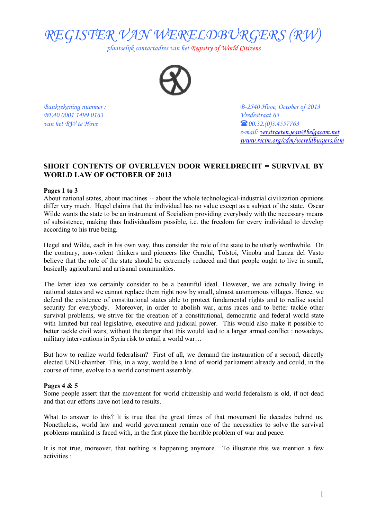

*plaatselijk contactadres van het Registry of World Citizens* 



*BE40 0001 1499 0163 Vredestraat 65 van het RW te Hove*  $\bullet$  **60.32.(0)3.4557763** 

*Bankrekening nummer : B-2540 Hove, October of 2013 e-mail: [verstraeten.jean@belgacom.net](mailto:verstraeten.jean@belgacom.net) [www.recim.org/cdm/wereldburgers.htm](http://www.recim.org/cdm/wereldburgers.htm)*

# **SHORT CONTENTS OF OVERLEVEN DOOR WERELDRECHT = SURVIVAL BY WORLD LAW OF OCTOBER OF 2013**

## **Pages 1 to 3**

About national states, about machines -- about the whole technological-industrial civilization opinions differ very much. Hegel claims that the individual has no value except as a subject of the state. Oscar Wilde wants the state to be an instrument of Socialism providing everybody with the necessary means of subsistence, making thus Individualism possible, i.e. the freedom for every individual to develop according to his true being.

Hegel and Wilde, each in his own way, thus consider the role of the state to be utterly worthwhile. On the contrary, non-violent thinkers and pioneers like Gandhi, Tolstoi, Vinoba and Lanza del Vasto believe that the role of the state should be extremely reduced and that people ought to live in small, basically agricultural and artisanal communities.

The latter idea we certainly consider to be a beautiful ideal. However, we are actually living in national states and we cannot replace them right now by small, almost autonomous villages. Hence, we defend the existence of constitutional states able to protect fundamental rights and to realise social security for everybody. Moreover, in order to abolish war, arms races and to better tackle other survival problems, we strive for the creation of a constitutional, democratic and federal world state with limited but real legislative, executive and judicial power. This would also make it possible to better tackle civil wars, without the danger that this would lead to a larger armed conflict : nowadays, military interventions in Syria risk to entail a world war…

But how to realize world federalism? First of all, we demand the instauration of a second, directly elected UNO-chamber. This, in a way, would be a kind of world parliament already and could, in the course of time, evolve to a world constituent assembly.

### **Pages 4 & 5**

Some people assert that the movement for world citizenship and world federalism is old, if not dead and that our efforts have not lead to results.

What to answer to this? It is true that the great times of that movement lie decades behind us. Nonetheless, world law and world government remain one of the necessities to solve the survival problems mankind is faced with, in the first place the horrible problem of war and peace.

It is not true, moreover, that nothing is happening anymore. To illustrate this we mention a few activities :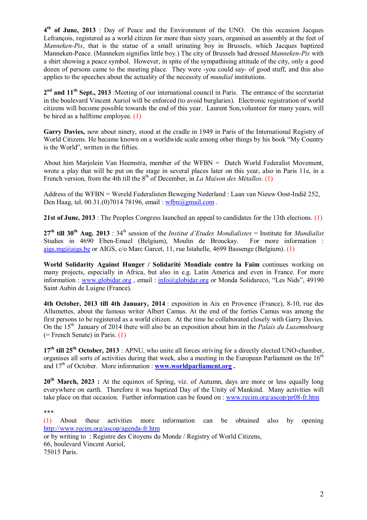**4 th of June, 2013** : Day of Peace and the Environment of the UNO. On this occasion Jacques Lefrançois, registered as a world citizen for more than sixty years, organised an assembly at the feet of *Manneken-Pis*, that is the statue of a small urinating boy in Brussels, which Jacques baptized Manneken-Peace. (Manneken signifies little boy.) The city of Brussels had dressed *Manneken-Pis* with a shirt showing a peace symbol. However, in spite of the sympathising attitude of the city, only a good dozen of persons came to the meeting place. They were -you could say- of good stuff, and this also applies to the speeches about the actuality of the necessity of *mundial* institutions.

**2 nd and 11th Sept., 2013** :Meeting of our international council in Paris. The entrance of the secretariat in the boulevard Vincent Auriol will be enforced (to avoid burglaries). Electronic registration of world citizens will become possible towards the end of this year. Laurent Son,volunteer for many years, will be hired as a halftime employee. (1)

**Garry Davies,** now about ninety, stood at the cradle in 1949 in Paris of the International Registry of World Citizens. He became known on a worldwide scale among other things by his book "My Country is the World", written in the fifties.

About him Marjolein Van Heemstra, member of the WFBN = Dutch World Federalist Movement, wrote a play that will be put on the stage in several places later on this year, also in Paris 11e, in a French version, from the 4th till the 8<sup>th</sup> of December, in *La Maison des Métallos.* (1)

Address of the WFBN = Wereld Federalisten Beweging Nederland : Laan van Nieuw Oost-Indië 252, Den Haag, tel. 00.31.(0)7014 78196, email : [wfbn@gmail.com](mailto:wfbn@gmail.com).

**21st of June, 2013** : The Peoples Congress launched an appeal to candidates for the 13th elections. (1)

 $27<sup>th</sup>$  **till**  $30<sup>th</sup>$  **Aug.**  $2013$  :  $34<sup>th</sup>$  session of the *Institut d'Etudes Mondialistes* = Institute for *Mundialist* Studies in 4690 Eben-Emael (Belgium), Moulin de Brouckay. For more information : [aigs.mg@aigs.be](mailto:aigs.mg@aigs.be) or AIGS, c/o Marc Garcet, 11, rue Istahelle, 4699 Bassenge (Belgium). (1)

**World Solidarity Against Hunger / Solidarité Mondiale contre la Faim** continues working on many projects, especially in Africa, but also in e.g. Latin America and even in France. For more information : [www.globidar.org](http://www.globidar.org), email:  $\frac{info(Qglobidar.org)}{info(Qglobidar.org)}$  or Monda Solidareco, "Les Nids", 49190 Saint Aubin de Luigne (France).

**4th October, 2013 till 4th January, 2014** : exposition in Aix en Provence (France), 8-10, rue des Allumettes, about the famous writer Albert Camus. At the end of the forties Camus was among the first persons to be registered as a world citizen. At the time he collaborated closely with Garry Davies. On the 15<sup>th</sup> January of 2014 there will also be an exposition about him in the *Palais du Luxemnbourg* (= French Senate) in Paris. (1)

**17th till 25th October, 2013** : APNU, who unite all forces striving for a directly elected UNO-chamber, organises all sorts of activities during that week, also a meeting in the European Parliament on the  $16<sup>th</sup>$ and  $17<sup>th</sup>$  of October. More information : **www.worldparliament.org**.

**20th March, 2023 :** At the equinox of Spring, viz. of Autumn, days are more or less equally long everywhere on earth. Therefore it was baptized Day of the Unity of Mankind. Many activities will take place on that occasion. Further information can be found on : [www.recim.org/ascop/pr08-fr.htm](http://www.recim.org/ascop/pr08-fr.htm)

\*\*\*

(1) About these activities more information can be obtained also by opening <http://www.recim.org/ascop/agenda-fr.htm>

or by writing to : Registre des Citoyens du Monde / Registry of World Citizens, 66, boulevard Vincent Auriol,

75015 Paris.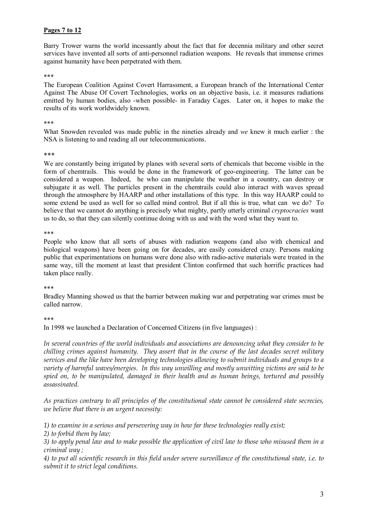## **Pages 7 to 12**

Barry Trower warns the world incessantly about the fact that for decennia military and other secret services have invented all sorts of anti-personnel radiation weapons. He reveals that immense crimes against humanity have been perpetrated with them.

#### \*\*\*

The European Coalition Against Covert Harrassment, a European branch of the International Center Against The Abuse Of Covert Technologies, works on an objective basis, i.e. it measures radiations emitted by human bodies, also -when possible- in Faraday Cages. Later on, it hopes to make the results of its work worldwidely known.

#### \*\*\*

What Snowden revealed was made public in the nineties already and *we* knew it much earlier : the NSA is listening to and reading all our telecommunications.

#### \*\*\*

We are constantly being irrigated by planes with several sorts of chemicals that become visible in the form of chemtrails. This would be done in the framework of geo-engineering. The latter can be considered a weapon. Indeed, he who can manipulate the weather in a country, can destroy or subjugate it as well. The particles present in the chemtrails could also interact with waves spread through the atmosphere by HAARP and other installations of this type. In this way HAARP could to some extend be used as well for so called mind control. But if all this is true, what can we do? To believe that we cannot do anything is precisely what mighty, partly utterly criminal *cryptocracies* want us to do, so that they can silently continue doing with us and with the word what they want to.

#### \*\*\*

People who know that all sorts of abuses with radiation weapons (and also with chemical and biological weapons) have been going on for decades, are easily considered crazy. Persons making public that experimentations on humans were done also with radio-active materials were treated in the same way, till the moment at least that president Clinton confirmed that such horrific practices had taken place really.

### \*\*\*

Bradley Manning showed us that the barrier between making war and perpetrating war crimes must be called narrow.

### \*\*\*

In 1998 we launched a Declaration of Concerned Citizens (in five languages) :

*In several countries of the world individuals and associations are denouncing what they consider to be chilling crimes against humanity. They assert that in the course of the last decades secret military services and the like have been developing technologies allowing to submit individuals and groups to a variety of harmful waves/energies. In this way unwilling and mostly unwitting victims are said to be spied on, to be manipulated, damaged in their health and as human beings, tortured and possibly assassinated.* 

*As practices contrary to all principles of the constitutional state cannot be considered state secrecies, we believe that there is an urgent necessity:* 

*1) to examine in a serious and persevering way in how far these technologies really exist;* 

*2) to forbid them by law;* 

3) to apply penal law and to make possible the application of civil law to those who misused them in a *criminal way ;* 

4) to put all scientific research in this field under severe surveillance of the constitutional state, i.e. to *submit it to strict legal conditions.*